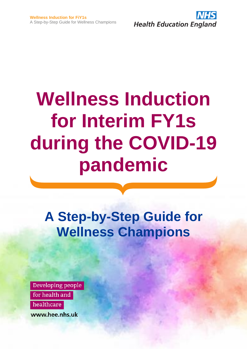

# **Wellness Induction for Interim FY1s during the COVID-19 pandemic**

**A Step-by-Step Guide for Wellness Champions**

Developing people for health and healthcare www.hee.nhs.uk

**NHS COVID-19 Staff Mental Health Hotline #OurNHSPeople**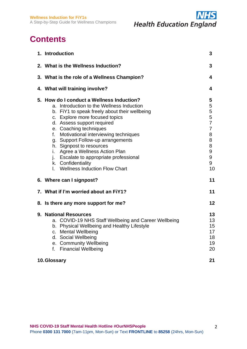**Wellness Induction for FiY1s** A Step-by-Step Guide for Wellness Champions



# **Contents**

| 1. Introduction                                                                                                                                                                                                                                                                                                                                                                                                                                                                                       | 3                                                                                        |
|-------------------------------------------------------------------------------------------------------------------------------------------------------------------------------------------------------------------------------------------------------------------------------------------------------------------------------------------------------------------------------------------------------------------------------------------------------------------------------------------------------|------------------------------------------------------------------------------------------|
| 2. What is the Wellness Induction?                                                                                                                                                                                                                                                                                                                                                                                                                                                                    | 3                                                                                        |
| 3. What is the role of a Wellness Champion?                                                                                                                                                                                                                                                                                                                                                                                                                                                           | 4                                                                                        |
| 4. What will training involve?                                                                                                                                                                                                                                                                                                                                                                                                                                                                        | 4                                                                                        |
| 5. How do I conduct a Wellness Induction?<br>a. Introduction to the Wellness Induction<br>b. FiY1 to speak freely about their wellbeing<br>c. Explore more focused topics<br>d. Assess support required<br>e. Coaching techniques<br>f.<br>Motivational interviewing techniques<br>g. Support Follow-up arrangements<br>h. Signpost to resources<br>Agree a Wellness Action Plan<br>i.<br>j. Escalate to appropriate professional<br>k. Confidentiality<br><b>Wellness Induction Flow Chart</b><br>L. | 5<br>5<br>5<br>5<br>$\overline{7}$<br>$\overline{7}$<br>8<br>8<br>8<br>9<br>9<br>9<br>10 |
| 6. Where can I signpost?                                                                                                                                                                                                                                                                                                                                                                                                                                                                              | 11                                                                                       |
| 7. What if I'm worried about an FiY1?                                                                                                                                                                                                                                                                                                                                                                                                                                                                 | 11                                                                                       |
| 8. Is there any more support for me?                                                                                                                                                                                                                                                                                                                                                                                                                                                                  | 12                                                                                       |
| 9. National Resources<br>a. COVID-19 NHS Staff Wellbeing and Career Wellbeing<br>b. Physical Wellbeing and Healthy Lifestyle<br>c. Mental Wellbeing<br>d. Social Wellbeing<br>e. Community Wellbeing<br><b>Financial Wellbeing</b><br>f.<br>10. Glossary                                                                                                                                                                                                                                              | 13<br>13<br>15<br>17<br>18<br>19<br>20<br>21                                             |
|                                                                                                                                                                                                                                                                                                                                                                                                                                                                                                       |                                                                                          |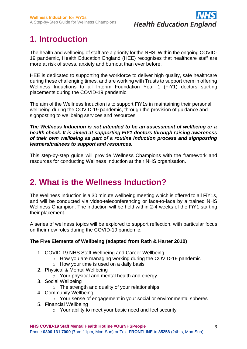

# **1. Introduction**

The health and wellbeing of staff are a priority for the NHS. Within the ongoing COVID-19 pandemic, Health Education England (HEE) recognises that healthcare staff are more at risk of stress, anxiety and burnout than ever before.

HEE is dedicated to supporting the workforce to deliver high quality, safe healthcare during these challenging times, and are working with Trusts to support them in offering Wellness Inductions to all Interim Foundation Year 1 (FiY1) doctors starting placements during the COVID-19 pandemic.

The aim of the Wellness Induction is to support FiY1s in maintaining their personal wellbeing during the COVID-19 pandemic, through the provision of guidance and signposting to wellbeing services and resources.

#### *The Wellness Induction is not intended to be an assessment of wellbeing or a health check. It is aimed at supporting FiY1 doctors through raising awareness of their own wellbeing as part of a routine induction process and signposting learners/trainees to support and resources.*

This step-by-step guide will provide Wellness Champions with the framework and resources for conducting Wellness Induction at their NHS organisation.

# **2. What is the Wellness Induction?**

The Wellness Induction is a 30 minute wellbeing meeting which is offered to all FiY1s, and will be conducted via video-teleconferencing or face-to-face by a trained NHS Wellness Champion. The induction will be held within 2-4 weeks of the FiY1 starting their placement.

A series of wellness topics will be explored to support reflection, with particular focus on their new roles during the COVID-19 pandemic.

## **The Five Elements of Wellbeing (adapted from Rath & Harter 2010)**

- 1. COVID-19 NHS Staff Wellbeing and Career Wellbeing
	- o How you are managing working during the COVID-19 pandemic
	- $\circ$  How your time is used on a daily basis
- 2. Physical & Mental Wellbeing
	- o Your physical and mental health and energy
- 3. Social Wellbeing
	- $\circ$  The strength and quality of your relationships
- 4. Community Wellbeing
	- o Your sense of engagement in your social or environmental spheres
- 5. Financial Wellbeing
	- $\circ$  Your ability to meet your basic need and feel security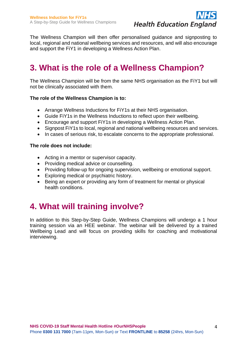

The Wellness Champion will then offer personalised guidance and signposting to local, regional and national wellbeing services and resources, and will also encourage and support the FiY1 in developing a Wellness Action Plan.

# **3. What is the role of a Wellness Champion?**

The Wellness Champion will be from the same NHS organisation as the FiY1 but will not be clinically associated with them.

#### **The role of the Wellness Champion is to:**

- Arrange Wellness Inductions for FiY1s at their NHS organisation.
- Guide FiY1s in the Wellness Inductions to reflect upon their wellbeing.
- Encourage and support FiY1s in developing a Wellness Action Plan.
- Signpost FiY1s to local, regional and national wellbeing resources and services.
- In cases of serious risk, to escalate concerns to the appropriate professional.

#### **The role does not include:**

- Acting in a mentor or supervisor capacity.
- Providing medical advice or counselling.
- Providing follow-up for ongoing supervision, wellbeing or emotional support.
- Exploring medical or psychiatric history.
- Being an expert or providing any form of treatment for mental or physical health conditions.

# **4. What will training involve?**

In addition to this Step-by-Step Guide, Wellness Champions will undergo a 1 hour training session via an HEE webinar. The webinar will be delivered by a trained Wellbeing Lead and will focus on providing skills for coaching and motivational interviewing.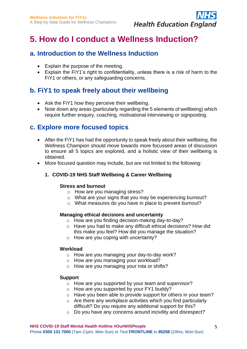

# **5. How do I conduct a Wellness Induction?**

## **a. Introduction to the Wellness Induction**

- Explain the purpose of the meeting.
- Explain the FiY1's right to confidentiality, unless there is a risk of harm to the FiY1 or others, or any safeguarding concerns.

## **b. FiY1 to speak freely about their wellbeing**

- Ask the FiY1 how they perceive their wellbeing.
- Note down any areas (particularly regarding the 5 elements of wellbeing) which require further enquiry, coaching, motivational interviewing or signposting.

## **c. Explore more focused topics**

- After the FiY1 has had the opportunity to speak freely about their wellbeing, the Wellness Champion should move towards more focussed areas of discussion to ensure all 5 topics are explored, and a holistic view of their wellbeing is obtained.
- More focused question may include, but are not limited to the following:

## **1. COVID-19 NHS Staff Wellbeing & Career Wellbeing**

### **Stress and burnout**

- o How are you managing stress?
- o What are your signs that you may be experiencing burnout?
- o What measures do you have in place to prevent burnout?

### **Managing ethical decisions and uncertainty**

- o How are you finding decision-making day-to-day?
- o Have you had to make any difficult ethical decisions? How did this make you feel? How did you manage the situation?
- o How are you coping with uncertainty?

#### **Workload**

- o How are you managing your day-to-day work?
- o How are you managing your workload?
- o How are you managing your rota or shifts?

### **Support**

- o How are you supported by your team and supervisor?
- $\circ$  How are you supported by your FY1 buddy?
- o Have you been able to provide support for others in your team?
- $\circ$  Are there any workplace activities which you find particularly difficult? Do you require any additional support for this?
- o Do you have any concerns around incivility and disrespect?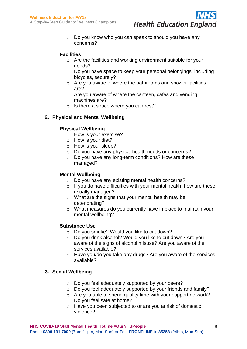

o Do you know who you can speak to should you have any concerns?

## **Facilities**

- o Are the facilities and working environment suitable for your needs?
- o Do you have space to keep your personal belongings, including bicycles, securely?
- $\circ$  Are you aware of where the bathrooms and shower facilities are?
- o Are you aware of where the canteen, cafes and vending machines are?
- o Is there a space where you can rest?

## **2. Physical and Mental Wellbeing**

### **Physical Wellbeing**

- o How is your exercise?
- o How is your diet?
- o How is your sleep?
- o Do you have any physical health needs or concerns?
- o Do you have any long-term conditions? How are these managed?

## **Mental Wellbeing**

- o Do you have any existing mental health concerns?
- $\circ$  If you do have difficulties with your mental health, how are these usually managed?
- o What are the signs that your mental health may be deteriorating?
- o What measures do you currently have in place to maintain your mental wellbeing?

### **Substance Use**

- o Do you smoke? Would you like to cut down?
- o Do you drink alcohol? Would you like to cut down? Are you aware of the signs of alcohol misuse? Are you aware of the services available?
- o Have you/do you take any drugs? Are you aware of the services available?

### **3. Social Wellbeing**

- o Do you feel adequately supported by your peers?
- o Do you feel adequately supported by your friends and family?
- o Are you able to spend quality time with your support network?
- o Do you feel safe at home?
- o Have you been subjected to or are you at risk of domestic violence?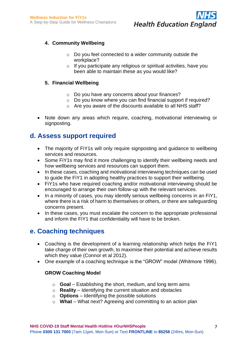

## **4. Community Wellbeing**

- o Do you feel connected to a wider community outside the workplace?
- o If you participate any religious or spiritual activities, have you been able to maintain these as you would like?

## **5. Financial Wellbeing**

- o Do you have any concerns about your finances?
- o Do you know where you can find financial support if required?
- o Are you aware of the discounts available to all NHS staff?
- Note down any areas which require, coaching, motivational interviewing or signposting.

## **d. Assess support required**

- The majority of FiY1s will only require signposting and quidance to wellbeing services and resources.
- Some FiY1s may find it more challenging to identify their wellbeing needs and how wellbeing services and resources can support them.
- In these cases, coaching and motivational interviewing techniques can be used to guide the FiY1 in adopting healthy practices to support their wellbeing.
- FiY1s who have required coaching and/or motivational interviewing should be encouraged to arrange their own follow-up with the relevant services.
- In a minority of cases, you may identify serious wellbeing concerns in an FiY1, where there is a risk of harm to themselves or others, or there are safeguarding concerns present.
- In these cases, you must escalate the concern to the appropriate professional and inform the FiY1 that confidentiality will have to be broken.

## **e. Coaching techniques**

- Coaching is the development of a learning relationship which helps the FiY1 take charge of their own growth, to maximise their potential and achieve results which they value (Connor et al 2012).
- One example of a coaching technique is the "GROW" model (Whitmore 1996).

## **GROW Coaching Model**

- o **Goal** Establishing the short, medium, and long term aims
- o **Reality** Identifying the current situation and obstacles
- o **Options** Identifying the possible solutions
- o **What** What next? Agreeing and committing to an action plan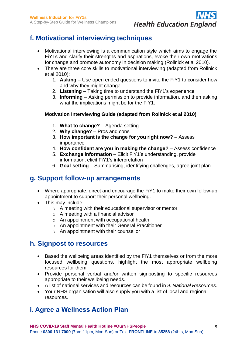# **Health Education England**

## **f. Motivational interviewing techniques**

- Motivational interviewing is a communication style which aims to engage the FiY1s and clarify their strengths and aspirations, evoke their own motivations for change and promote autonomy in decision making (Rollnick et al 2010).
- There are three core skills to motivational interviewing (adapted from Rollnick et al 2010):
	- 1. **Asking**  Use open ended questions to invite the FiY1 to consider how and why they might change
	- 2. **Listening** Taking time to understand the FiY1's experience
	- 3. **Informing** Asking permission to provide information, and then asking what the implications might be for the FiY1.

## **Motivation Interviewing Guide (adapted from Rollnick et al 2010)**

- 1. **What to change?**  Agenda setting
- 2. **Why change?**  Pros and cons
- 3. **How important is the change for you right now?**  Assess importance
- 4. **How confident are you in making the change?**  Assess confidence
- 5. **Exchange information**  Elicit FiY1's understanding, provide information, elicit FiY1's interpretation
- 6. **Goal-setting**  Summarising, identifying challenges, agree joint plan

## **g. Support follow-up arrangements**

- Where appropriate, direct and encourage the FiY1 to make their own follow-up appointment to support their personal wellbeing.
- This may include:
	- o A meeting with their educational supervisor or mentor
	- o A meeting with a financial advisor
	- o An appointment with occupational health
	- o An appointment with their General Practitioner
	- o An appointment with their counsellor

## **h. Signpost to resources**

- Based the wellbeing areas identified by the FiY1 themselves or from the more focused wellbeing questions, highlight the most appropriate wellbeing resources for them.
- Provide personal verbal and/or written signposting to specific resources appropriate to their wellbeing needs.
- A list of national services and resources can be found in *9. National Resources*.
- Your NHS organisation will also supply you with a list of local and regional resources.

## **i. Agree a Wellness Action Plan**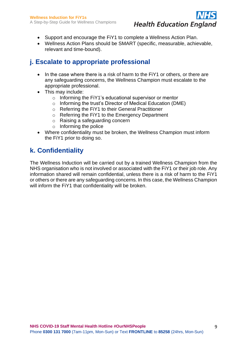

- Support and encourage the FiY1 to complete a Wellness Action Plan.
- Wellness Action Plans should be SMART (specific, measurable, achievable, relevant and time-bound).

## **j. Escalate to appropriate professional**

- In the case where there is a risk of harm to the FiY1 or others, or there are any safeguarding concerns, the Wellness Champion must escalate to the appropriate professional.
- This may include:
	- o Informing the FiY1's educational supervisor or mentor
	- o Informing the trust's Director of Medical Education (DME)
	- o Referring the FiY1 to their General Practitioner
	- o Referring the FiY1 to the Emergency Department
	- o Raising a safeguarding concern
	- $\circ$  Informing the police
- Where confidentiality must be broken, the Wellness Champion must inform the FiY1 prior to doing so.

## **k. Confidentiality**

The Wellness Induction will be carried out by a trained Wellness Champion from the NHS organisation who is not involved or associated with the FiY1 or their job role. Any information shared will remain confidential, unless there is a risk of harm to the FiY1 or others or there are any safeguarding concerns. In this case, the Wellness Champion will inform the FiY1 that confidentiality will be broken.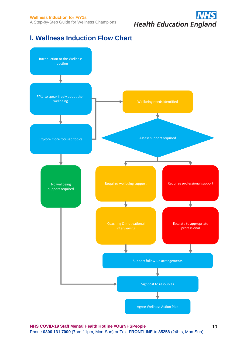# **Health Education England**

## **l. Wellness Induction Flow Chart**



10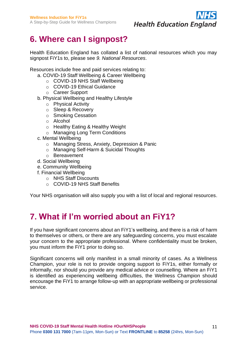

# **6. Where can I signpost?**

Health Education England has collated a list of national resources which you may signpost FiY1s to, please see *9. National Resources*.

Resources include free and paid services relating to:

- a. COVID-19 Staff Wellbeing & Career Wellbeing
	- o COVID-19 NHS Staff Wellbeing
	- o COVID-19 Ethical Guidance
	- o Career Support
- b. Physical Wellbeing and Healthy Lifestyle
	- o Physical Activity
	- o Sleep & Recovery
	- o Smoking Cessation
	- o Alcohol
	- o Healthy Eating & Healthy Weight
	- o Managing Long Term Conditions
- c. Mental Wellbeing
	- o Managing Stress, Anxiety, Depression & Panic
	- o Managing Self-Harm & Suicidal Thoughts
	- o Bereavement
- d. Social Wellbeing
- e. Community Wellbeing
- f. Financial Wellbeing
	- o NHS Staff Discounts
	- o COVID-19 NHS Staff Benefits

Your NHS organisation will also supply you with a list of local and regional resources.

# **7. What if I'm worried about an FiY1?**

If you have significant concerns about an FiY1's wellbeing, and there is a risk of harm to themselves or others, or there are any safeguarding concerns, you must escalate your concern to the appropriate professional. Where confidentiality must be broken, you must inform the FiY1 prior to doing so.

Significant concerns will only manifest in a small minority of cases. As a Wellness Champion, your role is not to provide ongoing support to FiY1s, either formally or informally, nor should you provide any medical advice or counselling. Where an FiY1 is identified as experiencing wellbeing difficulties, the Wellness Champion should encourage the FiY1 to arrange follow-up with an appropriate wellbeing or professional service.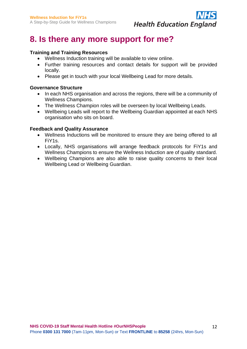

# **8. Is there any more support for me?**

### **Training and Training Resources**

- Wellness Induction training will be available to view online.
- Further training resources and contact details for support will be provided locally.
- Please get in touch with your local Wellbeing Lead for more details.

### **Governance Structure**

- In each NHS organisation and across the regions, there will be a community of Wellness Champions.
- The Wellness Champion roles will be overseen by local Wellbeing Leads.
- Wellbeing Leads will report to the Wellbeing Guardian appointed at each NHS organisation who sits on board.

#### **Feedback and Quality Assurance**

- Wellness Inductions will be monitored to ensure they are being offered to all FiY1s.
- Locally, NHS organisations will arrange feedback protocols for FiY1s and Wellness Champions to ensure the Wellness Induction are of quality standard.
- Wellbeing Champions are also able to raise quality concerns to their local Wellbeing Lead or Wellbeing Guardian.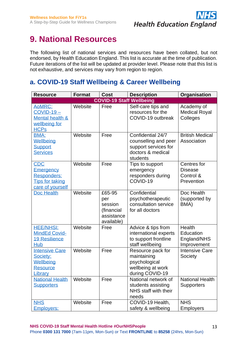

# **9. National Resources**

The following list of national services and resources have been collated, but not endorsed, by Health Education England. This list is accurate at the time of publication. Future iterations of the list will be updated at provider level. Please note that this list is not exhaustive, and services may vary from region to region.

## **a. COVID-19 Staff Wellbeing & Career Wellbeing**

| <b>Resource</b>                                                                      | <b>Format</b> | <b>Cost</b>                                                        | <b>Description</b>                                                                                 | Organisation                                             |
|--------------------------------------------------------------------------------------|---------------|--------------------------------------------------------------------|----------------------------------------------------------------------------------------------------|----------------------------------------------------------|
|                                                                                      |               | <b>COVID-19 Staff Wellbeing</b>                                    |                                                                                                    |                                                          |
| AoMRC:<br>$COVID-19-$<br>Mental health &<br>wellbeing for<br><b>HCPs</b>             | Website       | Free                                                               | Self-care tips and<br>resources for the<br>COVID-19 outbreak                                       | Academy of<br><b>Medical Royal</b><br>Colleges           |
| <b>BMA:</b><br>Wellbeing<br><b>Support</b><br><b>Services</b>                        | Website       | Free                                                               | Confidential 24/7<br>counselling and peer<br>support services for<br>doctors & medical<br>students | <b>British Medical</b><br>Association                    |
| <b>CDC</b><br>Emergency<br>Responders:<br><b>Tips for taking</b><br>care of yourself | Website       | Free                                                               | Tips to support<br>emergency<br>responders during<br>COVID-19                                      | Centres for<br><b>Disease</b><br>Control &<br>Prevention |
| Doc Health                                                                           | Website       | £65-95<br>per<br>session<br>(financial<br>assistance<br>available) | Confidential<br>psychotherapeutic<br>consultation service<br>for all doctors                       | Doc Health<br>(supported by<br>BMA)                      |
| <b>HEE/NHSI:</b><br><b>MindEd Covid-</b><br><b>19 Resilience</b><br><b>Hub</b>       | Website       | Free                                                               | Advice & tips from<br>international experts<br>to support frontline<br>staff wellbeing             | Health<br>Education<br>England/NHS<br>Improvement        |
| <b>Intensive Care</b><br>Society:<br>Wellbeing<br><b>Resource</b><br>Library         | Website       | Free                                                               | Resource pack for<br>maintaining<br>psychological<br>wellbeing at work<br>during COVID-19          | <b>Intensive Care</b><br>Society                         |
| <b>National Health</b><br><b>Supporters</b>                                          | Website       | Free                                                               | National network of<br>students assisting<br>NHS staff with their<br>needs                         | <b>National Health</b><br><b>Supporters</b>              |
| <b>NHS</b><br>Employers:                                                             | Website       | Free                                                               | COVID-19 Health,<br>safety & wellbeing                                                             | <b>NHS</b><br><b>Employers</b>                           |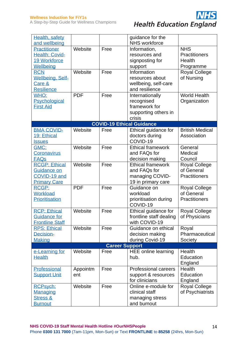

| Health, safety          |            |                       | quidance for the                 |                        |
|-------------------------|------------|-----------------------|----------------------------------|------------------------|
| and wellbeing           |            |                       | <b>NHS</b> workforce             |                        |
| Practitioner            | Website    | Free                  | Information,                     | <b>NHS</b>             |
| Health: Covid-          |            |                       | resources and                    | <b>Practitioners</b>   |
| <b>19 Workforce</b>     |            |                       | signposting for                  | Health                 |
| Wellbeing               |            |                       | support                          | Programme              |
| <b>RCN</b>              | Website    | Free                  | Information                      | <b>Royal College</b>   |
| <b>Wellbeing, Self-</b> |            |                       | resources about                  | of Nursing             |
| Care &                  |            |                       | wellbeing, self-care             |                        |
| <b>Resilience</b>       |            |                       | and resilience                   |                        |
| WHO:                    | <b>PDF</b> | Free                  | Internationally                  | <b>World Health</b>    |
| Psychological           |            |                       | recognised                       | Organization           |
| <b>First Aid</b>        |            |                       | framework for                    |                        |
|                         |            |                       | supporting others in             |                        |
|                         |            |                       | crisis                           |                        |
|                         |            |                       | <b>COVID-19 Ethical Guidance</b> |                        |
| <b>BMA COVID-</b>       | Website    | Free                  | Ethical guidance for             | <b>British Medical</b> |
| 19: Ethical             |            |                       | doctors during                   | Association            |
| <b>Issues</b>           |            |                       | COVID-19                         |                        |
| GMC:                    | Website    | Free                  | <b>Ethical framework</b>         | General                |
| Coronavirus             |            |                       | and FAQs for                     | Medical                |
| <b>FAQs</b>             |            |                       | decision making                  | Council                |
| <b>RCGP: Ethical</b>    | Website    | Free                  | <b>Ethical framework</b>         | <b>Royal College</b>   |
| Guidance on             |            |                       | and FAQs for                     | of General             |
| COVID-19 and            |            |                       | managing COVID-                  | <b>Practitioners</b>   |
| <b>Primary Care</b>     |            |                       | 19 in primary care               |                        |
| <b>RCGP:</b>            | <b>PDF</b> | Free                  | Guidance on                      | <b>Royal College</b>   |
| Workload                |            |                       | workload                         | of General             |
| <b>Prioritisation</b>   |            |                       | prioritisation during            | <b>Practitioners</b>   |
|                         |            |                       | COVID-19                         |                        |
| <b>RCP: Ethical</b>     | Website    | Free                  | Ethical guidance for             | <b>Royal College</b>   |
| <b>Guidance for</b>     |            |                       | frontline staff dealing          | of Physicians          |
| <b>Frontline Staff</b>  |            |                       | with COVID-19                    |                        |
| <b>RPS: Ethical</b>     | Website    | Free                  | Guidance on ethical              | Royal                  |
| Decision-               |            |                       | decision making                  | Pharmaceutical         |
| <b>Making</b>           |            |                       | during Covid-19                  | Society                |
|                         |            | <b>Career Support</b> |                                  |                        |
| e-Learning for          | Website    | Free                  | <b>HEE</b> online learning       | Health                 |
| <b>Health</b>           |            |                       | hub.                             | Education              |
|                         |            |                       |                                  |                        |
|                         |            |                       | <b>Professional careers</b>      | England                |
| Professional            | Appointm   | Free                  |                                  | Health                 |
| <b>Support Unit</b>     | ent        |                       | support & resources              | Education              |
|                         |            |                       | for clinicians                   | England                |
| <b>RCPsych:</b>         | Website    | Free                  | Online e-module for              | <b>Royal College</b>   |
| <b>Managing</b>         |            |                       | clinical staff                   | of Psychiatrists       |
| <b>Stress &amp;</b>     |            |                       | managing stress                  |                        |
| <b>Burnout</b>          |            |                       | and burnout                      |                        |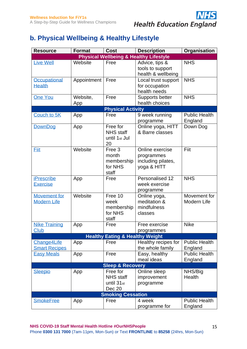

## **b. Physical Wellbeing & Healthy Lifestyle**

| <b>Resource</b>                           | <b>Format</b>   | <b>Cost</b>                                                      | <b>Description</b>                                                 | Organisation                    |
|-------------------------------------------|-----------------|------------------------------------------------------------------|--------------------------------------------------------------------|---------------------------------|
|                                           |                 |                                                                  | <b>Physical Wellbeing &amp; Healthy Lifestyle</b>                  |                                 |
| <b>Live Well</b>                          | Website         | Free                                                             | Advice, tips &<br>tools to support<br>health & wellbeing           | <b>NHS</b>                      |
| Occupational<br><b>Health</b>             | Appointment     | Free                                                             | Local trust support<br>for occupation<br>health needs              | <b>NHS</b>                      |
| <b>One You</b>                            | Website,<br>App | Free                                                             | Supports better<br>health choices                                  | <b>NHS</b>                      |
|                                           |                 | <b>Physical Activity</b>                                         |                                                                    |                                 |
| Couch to 5K                               | App             | Free                                                             | 9 week running<br>programme                                        | <b>Public Health</b><br>England |
| DownDog                                   | App             | Free for<br><b>NHS</b> staff<br>until 1 <sub>st</sub> Jul<br>20  | Online yoga, HITT<br>& Barre classes                               | Down Dog                        |
| <b>Eiit</b>                               | Website         | Free 3<br>month<br>membership<br>for NHS<br>staff                | Online exercise<br>programmes<br>including pilates,<br>yoga & HITT | Fiit                            |
| <b>iPrescribe</b><br><b>Exercise</b>      | App             | Free                                                             | Personalised 12<br>week exercise<br>programme                      | <b>NHS</b>                      |
| <b>Movement for</b><br><b>Modern Life</b> | Website         | Free 10<br>week<br>membership<br>for NHS<br>staff                | Online yoga,<br>meditation &<br>mindfulness<br>classes             | Movement for<br>Modern Life     |
| <b>Nike Training</b><br>Club              | App             | Free                                                             | Free exercise<br>programmes                                        | <b>Nike</b>                     |
|                                           |                 | <b>Healthy Eating &amp; Healthy Weight</b>                       |                                                                    |                                 |
| Change4Life<br><b>Smart Recipes</b>       | App             | Free                                                             | Healthy recipes for<br>the whole family                            | <b>Public Health</b><br>England |
| <b>Easy Meals</b>                         | App             | Free                                                             | Easy, healthy<br>meal ideas                                        | <b>Public Health</b><br>England |
|                                           |                 | <b>Sleep &amp; Recovery</b>                                      |                                                                    |                                 |
| <b>Sleepio</b>                            | App             | Free for<br><b>NHS</b> staff<br>until 31 <sub>st</sub><br>Dec 20 | Online sleep<br>improvement<br>programme                           | NHS/Big<br>Health               |
|                                           |                 | <b>Smoking Cessation</b>                                         |                                                                    |                                 |
| <b>SmokeFree</b>                          | App             | Free                                                             | 4 week<br>programme for                                            | <b>Public Health</b><br>England |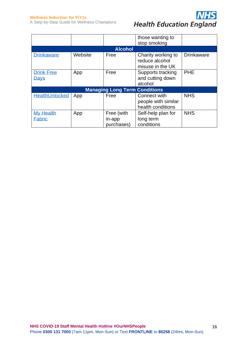#### **Wellness Induction for FiY1s**

A Step-by-Step Guide for Wellness Champions



|                                   |         |                                      | those wanting to                                         |                   |
|-----------------------------------|---------|--------------------------------------|----------------------------------------------------------|-------------------|
|                                   |         | <b>Alcohol</b>                       | stop smoking                                             |                   |
| <b>Drinkaware</b>                 | Website | Free                                 | Charity working to<br>reduce alcohol<br>misuse in the UK | <b>Drinkaware</b> |
| <b>Drink Free</b><br>Days         | App     | Free                                 | Supports tracking<br>and cutting down<br>alcohol         | PHE               |
|                                   |         | <b>Managing Long Term Conditions</b> |                                                          |                   |
| <b>HealthUnlocked</b>             | App     | Free                                 | Connect with<br>people with similar<br>health conditions | <b>NHS</b>        |
| <b>My Health</b><br><b>Fabric</b> | App     | Free (with<br>in-app<br>purchases)   | Self-help plan for<br>long term<br>conditions            | <b>NHS</b>        |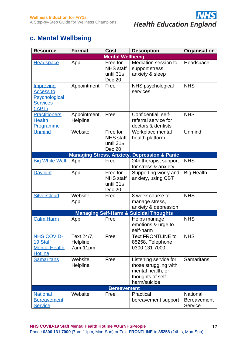

## **c. Mental Wellbeing**

| <b>Resource</b>                                                             | <b>Format</b>                      | <b>Cost</b>                                                      | <b>Description</b>                                                                                       | Organisation                              |
|-----------------------------------------------------------------------------|------------------------------------|------------------------------------------------------------------|----------------------------------------------------------------------------------------------------------|-------------------------------------------|
|                                                                             |                                    | <b>Mental Wellbeing</b>                                          |                                                                                                          |                                           |
| <b>Headspace</b>                                                            | App                                | Free for<br><b>NHS</b> staff<br>until 31 <sub>st</sub><br>Dec 20 | Mediation session to<br>support stress,<br>anxiety & sleep                                               | Headspace                                 |
| Improving<br><b>Access to</b><br>Psychological<br><b>Services</b><br>(IAPT) | Appointment                        | Free                                                             | NHS psychological<br>services                                                                            | <b>NHS</b>                                |
| <b>Practitioners</b><br><b>Health</b><br>Programme                          | Appointment,<br>Helpline           | Free                                                             | Confidential, self-<br>referral service for<br>doctors & dentists                                        | <b>NHS</b>                                |
| <b>Unmind</b>                                                               | Website                            | Free for<br><b>NHS</b> staff<br>until 31 <sub>st</sub><br>Dec 20 | Workplace mental<br>health platform                                                                      | Unmind                                    |
|                                                                             | <b>Managing Stress, Anxiety,</b>   |                                                                  | <b>Depression &amp; Panic</b>                                                                            |                                           |
| <b>Big White Wall</b>                                                       | App                                | Free                                                             | 24h therapist support<br>for stress & anxiety                                                            | <b>NHS</b>                                |
| Daylight                                                                    | App                                | Free for<br><b>NHS</b> staff<br>until 31 <sub>st</sub><br>Dec 20 | Supporting worry and<br>anxiety, using CBT                                                               | <b>Big Health</b>                         |
| <b>SilverCloud</b>                                                          | Website,<br>App                    | Free                                                             | 8 week course to<br>manage stress,<br>anxiety & depression                                               | <b>NHS</b>                                |
|                                                                             |                                    |                                                                  | <b>Managing Self-Harm &amp; Suicidal Thoughts</b>                                                        |                                           |
| <b>Calm Harm</b>                                                            | App                                | Free                                                             | Helps manage<br>emotions & urge to<br>self-harm                                                          | <b>NHS</b>                                |
| <b>NHS COVID-</b><br>19 Staff<br><b>Mental Health</b><br><b>Hotline</b>     | Text 24/7,<br>Helpline<br>7am-11pm | Free                                                             | <b>Text FRONTLINE to</b><br>85258, Telephone<br>0300 131 7000                                            | <b>NHS</b>                                |
| <b>Samaritans</b>                                                           | Website,<br>Helpline               | Free                                                             | Listening service for<br>those struggling with<br>mental health, or<br>thoughts of self-<br>harm/suicide | <b>Samaritans</b>                         |
|                                                                             |                                    | <b>Bereavement</b>                                               |                                                                                                          |                                           |
| <b>National</b><br><b>Bereavement</b><br><b>Service</b>                     | Website                            | Free                                                             | Practical<br>bereavement support                                                                         | National<br><b>Bereavement</b><br>Service |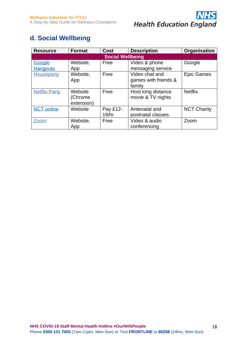

## **d. Social Wellbeing**

| <b>Resource</b>         | <b>Format</b> | <b>Cost</b> | <b>Description</b>   | Organisation       |  |  |  |
|-------------------------|---------------|-------------|----------------------|--------------------|--|--|--|
| <b>Social Wellbeing</b> |               |             |                      |                    |  |  |  |
| Google                  | Website,      | Free        | Video & phone        | Google             |  |  |  |
| <b>Hangouts</b>         | App           |             | messaging service    |                    |  |  |  |
| Houseparty              | Website,      | Free        | Video chat and       | <b>Epic Games</b>  |  |  |  |
|                         | App           |             | games with friends & |                    |  |  |  |
|                         |               |             | family               |                    |  |  |  |
| <b>Netflix Party</b>    | Website       | Free        | Host long distance   | <b>Netflix</b>     |  |  |  |
|                         | (Chrome       |             | movie & TV nights    |                    |  |  |  |
|                         | extension)    |             |                      |                    |  |  |  |
| <b>NCT online</b>       | Website       | Pay £12-    | Antenatal and        | <b>NCT Charity</b> |  |  |  |
|                         |               | 19/hr       | postnatal classes.   |                    |  |  |  |
| Zoom                    | Website,      | Free        | Video & audio        | Zoom               |  |  |  |
|                         | App           |             | conferencing         |                    |  |  |  |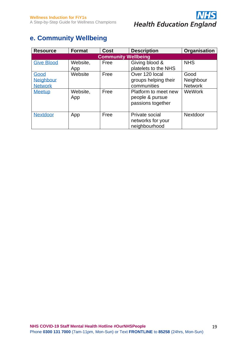

## **e. Community Wellbeing**

| <b>Resource</b>                                      | <b>Format</b>              | <b>Cost</b>  | <b>Description</b>                                                                                                    | Organisation                                  |  |  |  |  |
|------------------------------------------------------|----------------------------|--------------|-----------------------------------------------------------------------------------------------------------------------|-----------------------------------------------|--|--|--|--|
|                                                      | <b>Community Wellbeing</b> |              |                                                                                                                       |                                               |  |  |  |  |
| <b>Give Blood</b>                                    | Website,<br>App            | Free         | Giving blood &<br>platelets to the NHS                                                                                | <b>NHS</b>                                    |  |  |  |  |
| Good<br>Neighbour<br><b>Network</b><br><b>Meetup</b> | Website<br>Website,<br>App | Free<br>Free | Over 120 local<br>groups helping their<br>communities<br>Platform to meet new<br>people & pursue<br>passions together | Good<br>Neighbour<br><b>Network</b><br>WeWork |  |  |  |  |
| <b>Nextdoor</b>                                      | App                        | Free         | Private social<br>networks for your<br>neighbourhood                                                                  | Nextdoor                                      |  |  |  |  |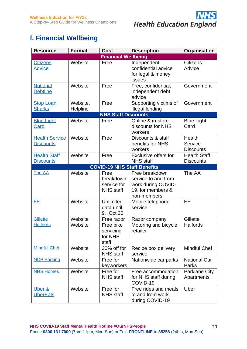

## **f. Financial Wellbeing**

| <b>Resource</b>                           | <b>Format</b>        | Cost                                                 | <b>Description</b>                                                                              | Organisation                            |
|-------------------------------------------|----------------------|------------------------------------------------------|-------------------------------------------------------------------------------------------------|-----------------------------------------|
|                                           |                      | <b>Financial Wellbeing</b>                           |                                                                                                 |                                         |
| <b>Citizens</b><br><b>Advice</b>          | Website              | Free                                                 | Independent,<br>confidential advice<br>for legal & money<br>issues                              | <b>Citizens</b><br>Advice               |
| <b>National</b><br><b>Debtline</b>        | Website              | Free                                                 | Free, confidential,<br>independent debt<br>advice                                               | Government                              |
| <b>Stop Loan</b><br><b>Sharks</b>         | Website,<br>Helpline | Free                                                 | Supporting victims of<br>illegal lending                                                        | Government                              |
|                                           |                      | <b>NHS Staff Discounts</b>                           |                                                                                                 |                                         |
| <b>Blue Light</b><br>Card                 | Website              | Free                                                 | Online & in-store<br>discounts for NHS<br>workers                                               | <b>Blue Light</b><br>Card               |
| <b>Health Service</b><br><b>Discounts</b> | Website              | Free                                                 | Discounts & staff<br>benefits for NHS<br>workers                                                | Health<br>Service<br><b>Discounts</b>   |
| <b>Health Staff</b><br><b>Discounts</b>   | Website              | Free                                                 | Exclusive offers for<br><b>NHS</b> staff                                                        | <b>Health Staff</b><br><b>Discounts</b> |
|                                           |                      |                                                      | <b>COVID-19 NHS Staff Benefits</b>                                                              |                                         |
| The AA                                    | Website              | Free<br>breakdown<br>service for<br><b>NHS</b> staff | Free breakdown<br>service to and from<br>work during COVID-<br>19, for members &<br>non-members | The AA                                  |
| EE.                                       | Website              | Unlimited<br>data until<br>9th Oct 20                | Mobile telephone<br>service                                                                     | EE                                      |
| Gillette                                  | Website              | Free razor                                           | Razor company                                                                                   | Gillette                                |
| <b>Halfords</b>                           | Website              | Free bike<br>servicing<br>for NHS<br>staff           | Motoring and bicycle<br>retailer                                                                | <b>Halfords</b>                         |
| <b>Mindful Chef</b>                       | Website              | 30% off for<br><b>NHS</b> staff                      | Recipe box delivery<br>service                                                                  | <b>Mindful Chef</b>                     |
| <b>NCP Parking</b>                        | Website              | Free for<br>keyworkers                               | Nationwide car parks                                                                            | <b>National Car</b><br>Parks            |
| <b>NHS Homes</b>                          | Website              | Free for<br><b>NHS</b> staff                         | Free accommodation<br>for NHS staff during<br>COVID-19                                          | <b>Parklane City</b><br>Apartments      |
| Uber &<br><b>UberEats</b>                 | Website              | Free for<br><b>NHS</b> staff                         | Free rides and meals<br>to and from work<br>during COVID-19                                     | Uber                                    |